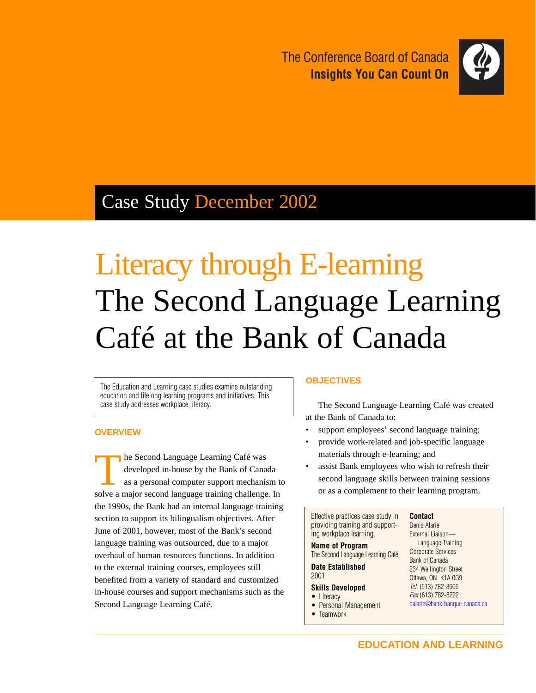The Conference Board of Canada **Insights You Can Count On** 



# Case Study December 2002

# Literacy through E-learning The Second Language Learning Café at the Bank of Canada

The Education and Learning case studies examine outstanding education and lifelong learning programs and initiatives. This case study addresses workplace literacy.

### **OVERVIEW**

The Second Language Learning Café was developed in-house by the Bank of Canada as a personal computer support mechanism to solve a major second language training challenge. In the 1990s, the Bank had an internal language training section to support its bilingualism objectives. After June of 2001, however, most of the Bank's second language training was outsourced, due to a major overhaul of human resources functions. In addition to the external training courses, employees still benefited from a variety of standard and customized in-house courses and support mechanisms such as the Second Language Learning Café.

#### **OBJECTIVES**

The Second Language Learning Café was created at the Bank of Canada to:

- support employees' second language training;
- provide work-related and job-specific language materials through e-learning; and
- assist Bank employees who wish to refresh their second language skills between training sessions or as a complement to their learning program.

Effective practices case study in providing training and supporting workplace learning.

#### **Name of Program** The Second Language Learning Café

**Date Established**

## **Skills Developed**

• Literacy

2001

- Personal Management
- Teamwork

Denis Alarie External Liaison— Language Training Corporate Services Bank of Canada 234 Wellington Street Ottawa, ON K1A 0G9 Tel. (613) 782-8606 Fax (613) 782-8222 [dalarie@bank-banque-canada.ca](mailto:dalarie@bank-banque-canada.ca)

**Contact**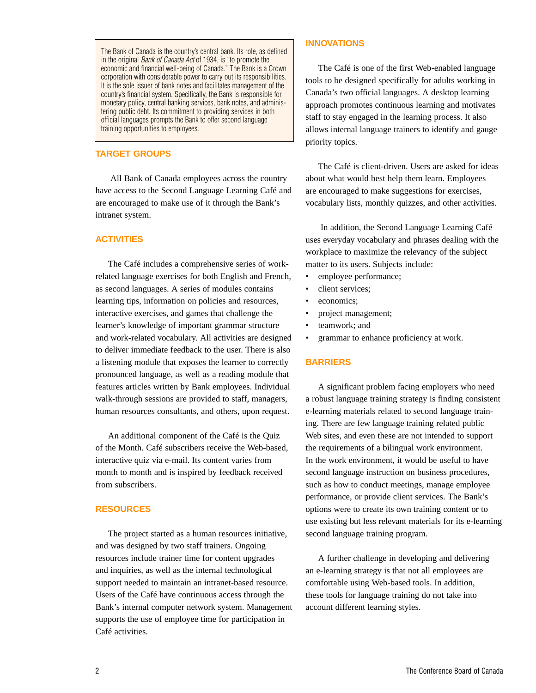The Bank of Canada is the country's central bank. Its role, as defined in the original *Bank of Canada Act* of 1934, is "to promote the economic and financial well-being of Canada." The Bank is a Crown corporation with considerable power to carry out its responsibilities. It is the sole issuer of bank notes and facilitates management of the country's financial system. Specifically, the Bank is responsible for monetary policy, central banking services, bank notes, and administering public debt. Its commitment to providing services in both official languages prompts the Bank to offer second language training opportunities to employees.

#### **TARGET GROUPS**

All Bank of Canada employees across the country have access to the Second Language Learning Café and are encouraged to make use of it through the Bank's intranet system.

#### **ACTIVITIES**

The Café includes a comprehensive series of workrelated language exercises for both English and French, as second languages. A series of modules contains learning tips, information on policies and resources, interactive exercises, and games that challenge the learner's knowledge of important grammar structure and work-related vocabulary. All activities are designed to deliver immediate feedback to the user. There is also a listening module that exposes the learner to correctly pronounced language, as well as a reading module that features articles written by Bank employees. Individual walk-through sessions are provided to staff, managers, human resources consultants, and others, upon request.

An additional component of the Café is the Quiz of the Month. Café subscribers receive the Web-based, interactive quiz via e-mail. Its content varies from month to month and is inspired by feedback received from subscribers.

#### **RESOURCES**

The project started as a human resources initiative, and was designed by two staff trainers. Ongoing resources include trainer time for content upgrades and inquiries, as well as the internal technological support needed to maintain an intranet-based resource. Users of the Café have continuous access through the Bank's internal computer network system. Management supports the use of employee time for participation in Café activities.

#### **INNOVATIONS**

The Café is one of the first Web-enabled language tools to be designed specifically for adults working in Canada's two official languages. A desktop learning approach promotes continuous learning and motivates staff to stay engaged in the learning process. It also allows internal language trainers to identify and gauge priority topics.

The Café is client-driven. Users are asked for ideas about what would best help them learn. Employees are encouraged to make suggestions for exercises, vocabulary lists, monthly quizzes, and other activities.

In addition, the Second Language Learning Café uses everyday vocabulary and phrases dealing with the workplace to maximize the relevancy of the subject matter to its users. Subjects include:

- employee performance;
- client services;
- economics:
- project management;
- teamwork; and
- grammar to enhance proficiency at work.

#### **BARRIERS**

A significant problem facing employers who need a robust language training strategy is finding consistent e-learning materials related to second language training. There are few language training related public Web sites, and even these are not intended to support the requirements of a bilingual work environment. In the work environment, it would be useful to have second language instruction on business procedures, such as how to conduct meetings, manage employee performance, or provide client services. The Bank's options were to create its own training content or to use existing but less relevant materials for its e-learning second language training program.

A further challenge in developing and delivering an e-learning strategy is that not all employees are comfortable using Web-based tools. In addition, these tools for language training do not take into account different learning styles.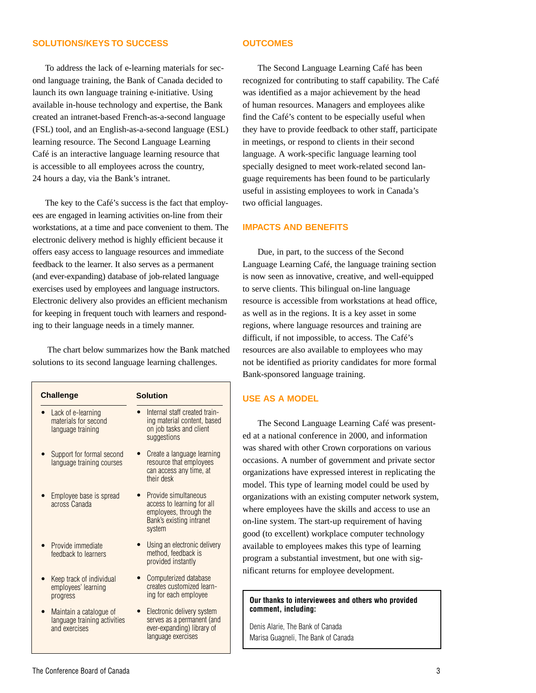#### **SOLUTIONS/KEYS TO SUCCESS**

#### **OUTCOMES**

To address the lack of e-learning materials for second language training, the Bank of Canada decided to launch its own language training e-initiative. Using available in-house technology and expertise, the Bank created an intranet-based French-as-a-second language (FSL) tool, and an English-as-a-second language (ESL) learning resource. The Second Language Learning Café is an interactive language learning resource that is accessible to all employees across the country, 24 hours a day, via the Bank's intranet.

The key to the Café's success is the fact that employees are engaged in learning activities on-line from their workstations, at a time and pace convenient to them. The electronic delivery method is highly efficient because it offers easy access to language resources and immediate feedback to the learner. It also serves as a permanent (and ever-expanding) database of job-related language exercises used by employees and language instructors. Electronic delivery also provides an efficient mechanism for keeping in frequent touch with learners and responding to their language needs in a timely manner.

The chart below summarizes how the Bank matched solutions to its second language learning challenges.

| <b>Challenge</b>                                                         | <b>Solution</b>                                                                                                    |
|--------------------------------------------------------------------------|--------------------------------------------------------------------------------------------------------------------|
| • Lack of e-learning<br>materials for second<br>language training        | Internal staff created train-<br>ing material content, based<br>on job tasks and client<br>suggestions             |
| Support for formal second<br>language training courses                   | Create a language learning<br>resource that employees<br>can access any time, at<br>their desk                     |
| Employee base is spread<br>across Canada                                 | Provide simultaneous<br>access to learning for all<br>employees, through the<br>Bank's existing intranet<br>system |
| Provide immediate<br>feedback to learners                                | Using an electronic delivery<br>method, feedback is<br>provided instantly                                          |
| Keep track of individual<br>employees' learning<br>progress              | Computerized database<br>creates customized learn-<br>ing for each employee                                        |
| Maintain a catalogue of<br>language training activities<br>and exercises | Electronic delivery system<br>serves as a permanent (and<br>ever-expanding) library of<br>language exercises       |

The Second Language Learning Café has been recognized for contributing to staff capability. The Café was identified as a major achievement by the head of human resources. Managers and employees alike find the Café's content to be especially useful when they have to provide feedback to other staff, participate in meetings, or respond to clients in their second language. A work-specific language learning tool specially designed to meet work-related second language requirements has been found to be particularly useful in assisting employees to work in Canada's two official languages.

#### **IMPACTS AND BENEFITS**

Due, in part, to the success of the Second Language Learning Café, the language training section is now seen as innovative, creative, and well-equipped to serve clients. This bilingual on-line language resource is accessible from workstations at head office, as well as in the regions. It is a key asset in some regions, where language resources and training are difficult, if not impossible, to access. The Café's resources are also available to employees who may not be identified as priority candidates for more formal Bank-sponsored language training.

#### **USE AS A MODEL**

The Second Language Learning Café was presented at a national conference in 2000, and information was shared with other Crown corporations on various occasions. A number of government and private sector organizations have expressed interest in replicating the model. This type of learning model could be used by organizations with an existing computer network system, where employees have the skills and access to use an on-line system. The start-up requirement of having good (to excellent) workplace computer technology available to employees makes this type of learning program a substantial investment, but one with significant returns for employee development.

#### **Our thanks to interviewees and others who provided comment, including:**

Denis Alarie, The Bank of Canada Marisa Guagneli, The Bank of Canada